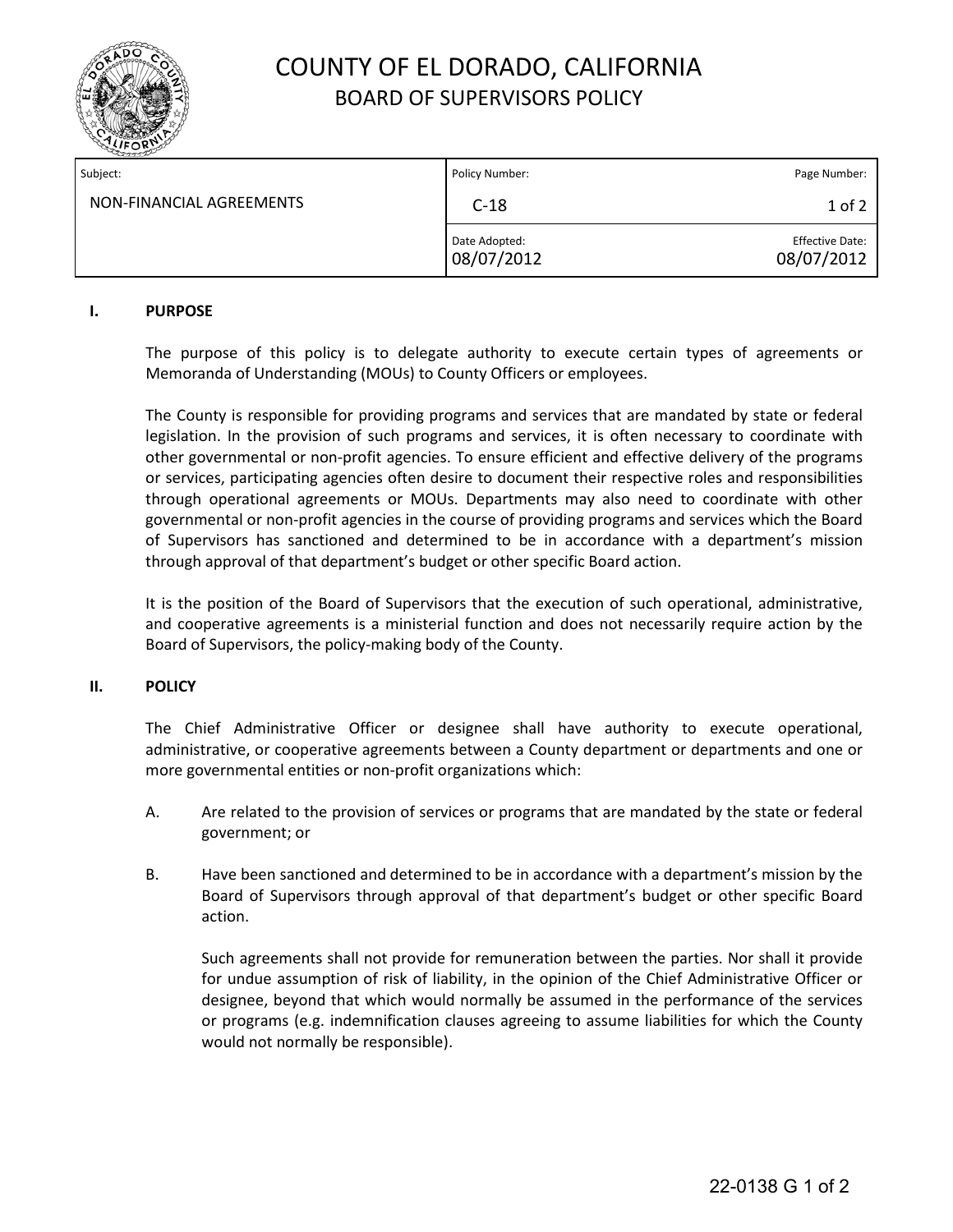

# COUNTY OF EL DORADO, CALIFORNIA BOARD OF SUPERVISORS POLICY

| Subject:                 | Policy Number:              | Page Number:                         |
|--------------------------|-----------------------------|--------------------------------------|
| NON-FINANCIAL AGREEMENTS | $C-18$                      | $1$ of $2$                           |
|                          | Date Adopted:<br>08/07/2012 | <b>Effective Date:</b><br>08/07/2012 |

#### **I. PURPOSE**

The purpose of this policy is to delegate authority to execute certain types of agreements or Memoranda of Understanding (MOUs) to County Officers or employees.

The County is responsible for providing programs and services that are mandated by state or federal legislation. In the provision of such programs and services, it is often necessary to coordinate with other governmental or non-profit agencies. To ensure efficient and effective delivery of the programs or services, participating agencies often desire to document their respective roles and responsibilities through operational agreements or MOUs. Departments may also need to coordinate with other governmental or non-profit agencies in the course of providing programs and services which the Board of Supervisors has sanctioned and determined to be in accordance with a department's mission through approval of that department's budget or other specific Board action.

It is the position of the Board of Supervisors that the execution of such operational, administrative, and cooperative agreements is a ministerial function and does not necessarily require action by the Board of Supervisors, the policy-making body of the County.

#### **II. POLICY**

The Chief Administrative Officer or designee shall have authority to execute operational, administrative, or cooperative agreements between a County department or departments and one or more governmental entities or non-profit organizations which:

- A. Are related to the provision of services or programs that are mandated by the state or federal government; or
- B. Have been sanctioned and determined to be in accordance with a department's mission by the Board of Supervisors through approval of that department's budget or other specific Board action.

Such agreements shall not provide for remuneration between the parties. Nor shall it provide for undue assumption of risk of liability, in the opinion of the Chief Administrative Officer or designee, beyond that which would normally be assumed in the performance of the services or programs (e.g. indemnification clauses agreeing to assume liabilities for which the County would not normally be responsible).